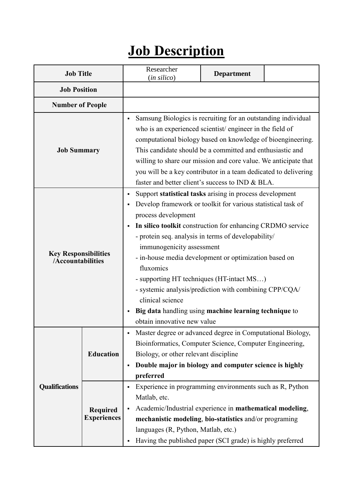## **Job Description**

| <b>Job Title</b>                                 |                                | Researcher<br>(in silico)                                                                                                                                                                                                                                                                                                                                                                                                                                                                                                                                                                  | <b>Department</b> |  |
|--------------------------------------------------|--------------------------------|--------------------------------------------------------------------------------------------------------------------------------------------------------------------------------------------------------------------------------------------------------------------------------------------------------------------------------------------------------------------------------------------------------------------------------------------------------------------------------------------------------------------------------------------------------------------------------------------|-------------------|--|
| <b>Job Position</b>                              |                                |                                                                                                                                                                                                                                                                                                                                                                                                                                                                                                                                                                                            |                   |  |
| <b>Number of People</b>                          |                                |                                                                                                                                                                                                                                                                                                                                                                                                                                                                                                                                                                                            |                   |  |
| <b>Job Summary</b>                               |                                | Samsung Biologics is recruiting for an outstanding individual<br>who is an experienced scientist/engineer in the field of<br>computational biology based on knowledge of bioengineering.<br>This candidate should be a committed and enthusiastic and<br>willing to share our mission and core value. We anticipate that<br>you will be a key contributor in a team dedicated to delivering<br>faster and better client's success to IND & BLA.                                                                                                                                            |                   |  |
| <b>Key Responsibilities</b><br>/Accountabilities |                                | Support statistical tasks arising in process development<br>Develop framework or toolkit for various statistical task of<br>process development<br>In silico toolkit construction for enhancing CRDMO service<br>- protein seq. analysis in terms of developability/<br>immunogenicity assessment<br>- in-house media development or optimization based on<br>fluxomics<br>- supporting HT techniques (HT-intact MS)<br>- systemic analysis/prediction with combining CPP/CQA/<br>clinical science<br>Big data handling using machine learning technique to<br>obtain innovative new value |                   |  |
| <b>Qualifications</b>                            | <b>Education</b>               | Master degree or advanced degree in Computational Biology,<br>Bioinformatics, Computer Science, Computer Engineering,<br>Biology, or other relevant discipline<br>Double major in biology and computer science is highly<br>٠<br>preferred<br>Experience in programming environments such as R, Python<br>٠                                                                                                                                                                                                                                                                                |                   |  |
|                                                  | Required<br><b>Experiences</b> | Matlab, etc.<br>Academic/Industrial experience in mathematical modeling,<br>mechanistic modeling, bio-statistics and/or programing<br>languages (R, Python, Matlab, etc.)<br>Having the published paper (SCI grade) is highly preferred                                                                                                                                                                                                                                                                                                                                                    |                   |  |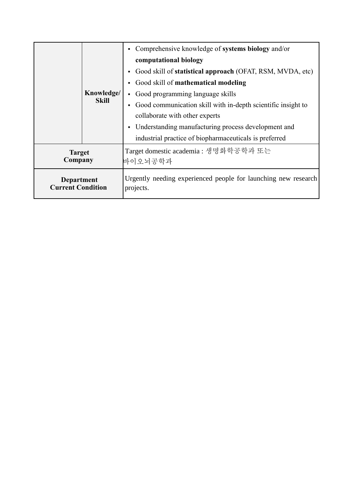|                                        |                            | Comprehensive knowledge of systems biology and/or                           |  |
|----------------------------------------|----------------------------|-----------------------------------------------------------------------------|--|
|                                        | Knowledge/<br><b>Skill</b> | computational biology                                                       |  |
|                                        |                            | Good skill of statistical approach (OFAT, RSM, MVDA, etc)                   |  |
|                                        |                            | Good skill of mathematical modeling                                         |  |
|                                        |                            | Good programming language skills                                            |  |
|                                        |                            | Good communication skill with in-depth scientific insight to                |  |
|                                        |                            | collaborate with other experts                                              |  |
|                                        |                            | Understanding manufacturing process development and                         |  |
|                                        |                            | industrial practice of biopharmaceuticals is preferred                      |  |
| <b>Target</b><br>Company               |                            | Target domestic academia : 생명화학공학과 또는                                       |  |
|                                        |                            | 바이오뇌공학과                                                                     |  |
| Department<br><b>Current Condition</b> |                            | Urgently needing experienced people for launching new research<br>projects. |  |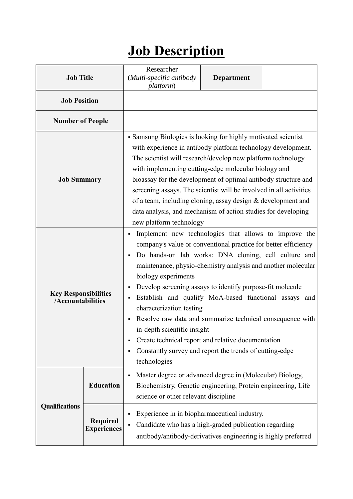## **Job Description**

| <b>Job Title</b>                                 |                                       | Researcher<br>(Multi-specific antibody<br>platform)                                                                                                                                                                                                                                                                                                                                                                                                                                                                                                                                                                                                   | <b>Department</b> |  |
|--------------------------------------------------|---------------------------------------|-------------------------------------------------------------------------------------------------------------------------------------------------------------------------------------------------------------------------------------------------------------------------------------------------------------------------------------------------------------------------------------------------------------------------------------------------------------------------------------------------------------------------------------------------------------------------------------------------------------------------------------------------------|-------------------|--|
| <b>Job Position</b>                              |                                       |                                                                                                                                                                                                                                                                                                                                                                                                                                                                                                                                                                                                                                                       |                   |  |
| <b>Number of People</b>                          |                                       |                                                                                                                                                                                                                                                                                                                                                                                                                                                                                                                                                                                                                                                       |                   |  |
| <b>Job Summary</b>                               |                                       | • Samsung Biologics is looking for highly motivated scientist<br>with experience in antibody platform technology development.<br>The scientist will research/develop new platform technology<br>with implementing cutting-edge molecular biology and<br>bioassay for the development of optimal antibody structure and<br>screening assays. The scientist will be involved in all activities<br>of a team, including cloning, assay design & development and<br>data analysis, and mechanism of action studies for developing<br>new platform technology                                                                                              |                   |  |
| <b>Key Responsibilities</b><br>/Accountabilities |                                       | Implement new technologies that allows to improve the<br>company's value or conventional practice for better efficiency<br>Do hands-on lab works: DNA cloning, cell culture and<br>maintenance, physio-chemistry analysis and another molecular<br>biology experiments<br>Develop screening assays to identify purpose-fit molecule<br>Establish and qualify MoA-based functional assays and<br>characterization testing<br>Resolve raw data and summarize technical consequence with<br>in-depth scientific insight<br>Create technical report and relative documentation<br>Constantly survey and report the trends of cutting-edge<br>technologies |                   |  |
|                                                  | <b>Education</b>                      | Master degree or advanced degree in (Molecular) Biology,<br>٠<br>Biochemistry, Genetic engineering, Protein engineering, Life<br>science or other relevant discipline                                                                                                                                                                                                                                                                                                                                                                                                                                                                                 |                   |  |
| <b>Qualifications</b>                            | <b>Required</b><br><b>Experiences</b> | Experience in in biopharmaceutical industry.<br>Candidate who has a high-graded publication regarding<br>٠<br>antibody/antibody-derivatives engineering is highly preferred                                                                                                                                                                                                                                                                                                                                                                                                                                                                           |                   |  |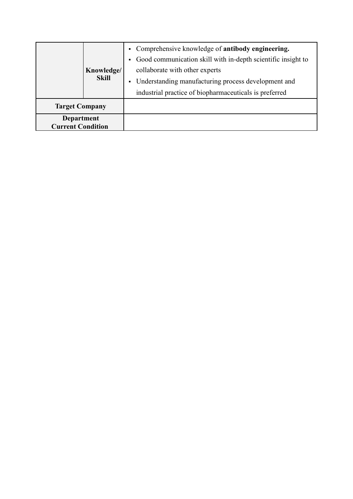|                                        | Knowledge/<br><b>Skill</b> | • Comprehensive knowledge of antibody engineering.<br>Good communication skill with in-depth scientific insight to<br>collaborate with other experts<br>• Understanding manufacturing process development and<br>industrial practice of biopharmaceuticals is preferred |  |
|----------------------------------------|----------------------------|-------------------------------------------------------------------------------------------------------------------------------------------------------------------------------------------------------------------------------------------------------------------------|--|
| <b>Target Company</b>                  |                            |                                                                                                                                                                                                                                                                         |  |
| Department<br><b>Current Condition</b> |                            |                                                                                                                                                                                                                                                                         |  |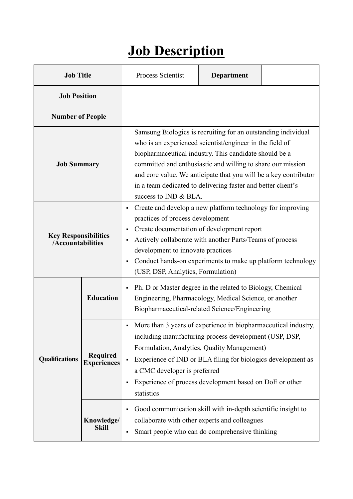## **Job Description**

| <b>Job Title</b>                                 |                                       | Process Scientist                                                                                                                                                                                                                                                                                                                                                                                               | <b>Department</b> |  |
|--------------------------------------------------|---------------------------------------|-----------------------------------------------------------------------------------------------------------------------------------------------------------------------------------------------------------------------------------------------------------------------------------------------------------------------------------------------------------------------------------------------------------------|-------------------|--|
| <b>Job Position</b>                              |                                       |                                                                                                                                                                                                                                                                                                                                                                                                                 |                   |  |
| <b>Number of People</b>                          |                                       |                                                                                                                                                                                                                                                                                                                                                                                                                 |                   |  |
| <b>Job Summary</b>                               |                                       | Samsung Biologics is recruiting for an outstanding individual<br>who is an experienced scientist/engineer in the field of<br>biopharmaceutical industry. This candidate should be a<br>committed and enthusiastic and willing to share our mission<br>and core value. We anticipate that you will be a key contributor<br>in a team dedicated to delivering faster and better client's<br>success to IND & BLA. |                   |  |
| <b>Key Responsibilities</b><br>/Accountabilities |                                       | Create and develop a new platform technology for improving<br>٠<br>practices of process development<br>Create documentation of development report<br>٠<br>Actively collaborate with another Parts/Teams of process<br>п<br>development to innovate practices<br>Conduct hands-on experiments to make up platform technology<br>٠<br>(USP, DSP, Analytics, Formulation)                                          |                   |  |
| <b>Education</b>                                 |                                       | Ph. D or Master degree in the related to Biology, Chemical<br>٠<br>Engineering, Pharmacology, Medical Science, or another<br>Biopharmaceutical-related Science/Engineering                                                                                                                                                                                                                                      |                   |  |
| <b>Qualifications</b>                            | <b>Required</b><br><b>Experiences</b> | More than 3 years of experience in biopharmaceutical industry,<br>٠<br>including manufacturing process development (USP, DSP,<br>Formulation, Analytics, Quality Management)<br>Experience of IND or BLA filing for biologics development as<br>a CMC developer is preferred<br>Experience of process development based on DoE or other<br>٠<br>statistics                                                      |                   |  |
|                                                  | Knowledge/<br><b>Skill</b>            | Good communication skill with in-depth scientific insight to<br>٠<br>collaborate with other experts and colleagues<br>Smart people who can do comprehensive thinking<br>٠                                                                                                                                                                                                                                       |                   |  |